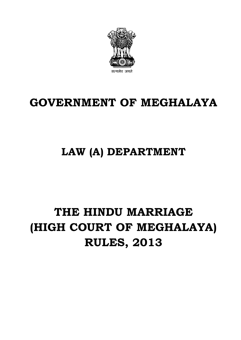

### **GOVERNMENT OF MEGHALAYA**

## **LAW (A) DEPARTMENT**

# **THE HINDU MARRIAGE (HIGH COURT OF MEGHALAYA) RULES, 2013**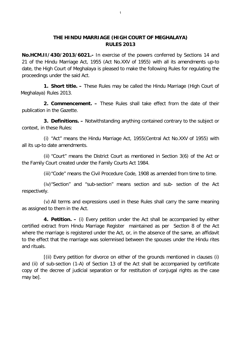#### **THE HINDU MARRIAGE (HIGH COURT OF MEGHALAYA) RULES 2013**

**No.HCM.II/430/2013/6021.-** In exercise of the powers conferred by Sections 14 and 21 of the Hindu Marriage Act, 1955 (Act No.XXV of 1955) with all its amendments up-to date, the High Court of Meghalaya is pleased to make the following Rules for regulating the proceedings under the said Act.

**1. Short title. –** These Rules may be called the Hindu Marriage (High Court of Meghalaya) Rules 2013.

**2. Commencement. –** These Rules shall take effect from the date of their publication in the Gazette.

**3. Definitions. –** Notwithstanding anything contained contrary to the subject or context, in these Rules:

(i) "Act" means the Hindu Marriage Act, 1955(Central Act No.XXV of 1955) with all its up-to date amendments.

(ii) "Court" means the District Court as mentioned in Section 3(6) of the Act or the Family Court created under the Family Courts Act 1984.

(iii)"Code" means the Civil Procedure Code, 1908 as amended from time to time.

(iv)"Section" and "sub-section" means section and sub- section of the Act respectively.

(v) All terms and expressions used in these Rules shall carry the same meaning as assigned to them in the Act.

**4. Petition. –** (i) Every petition under the Act shall be accompanied by either certified extract from Hindu Marriage Register maintained as per Section 8 of the Act where the marriage is registered under the Act, or, in the absence of the same, an affidavit to the effect that the marriage was solemnised between the spouses under the Hindu rites and rituals.

[(ii) Every petition for divorce on either of the grounds mentioned in clauses (i) and (ii) of sub-section (1-A) of Section 13 of the Act shall be accompanied by certificate copy of the decree of judicial separation or for restitution of conjugal rights as the case may be].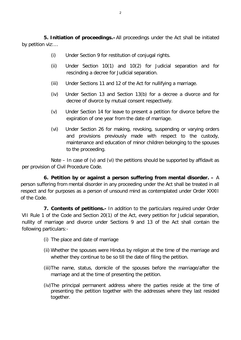**5. Initiation of proceedings.–**All proceedings under the Act shall be initiated by petition viz:…

- (i) Under Section 9 for restitution of conjugal rights.
- (ii) Under Section 10(1) and 10(2) for Judicial separation and for rescinding a decree for Judicial separation.
- (iii) Under Sections 11 and 12 of the Act for nullifying a marriage.
- (iv) Under Section 13 and Section 13(b) for a decree a divorce and for decree of divorce by mutual consent respectively.
- (v) Under Section 14 for leave to present a petition for divorce before the expiration of one year from the date of marriage.
- (vi) Under Section 26 for making, revoking, suspending or varying orders and provisions previously made with respect to the custody, maintenance and education of minor children belonging to the spouses to the proceeding.

Note  $-$  In case of (v) and (vi) the petitions should be supported by affidavit as per provision of Civil Procedure Code.

**6. Petition by or against a person suffering from mental disorder. –** A person suffering from mental disorder in any proceeding under the Act shall be treated in all respect and for purposes as a person of unsound mind as contemplated under Order XXXII of the Code.

**7. Contents of petitions.-** In addition to the particulars required under Order VII Rule 1 of the Code and Section 20(1) of the Act, every petition for Judicial separation, nullity of marriage and divorce under Sections 9 and 13 of the Act shall contain the following particulars:-

- (i) The place and date of marriage
- (ii) Whether the spouses were Hindus by religion at the time of the marriage and whether they continue to be so till the date of filing the petition.
- (iii)The name, status, domicile of the spouses before the marriage/after the marriage and at the time of presenting the petition.
- (iv)The principal permanent address where the parties reside at the time of presenting the petition together with the addresses where they last resided together.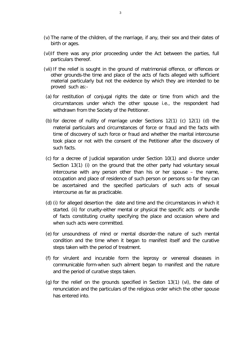- (v) The name of the children, of the marriage, if any, their sex and their dates of birth or ages.
- (vi)If there was any prior proceeding under the Act between the parties, full particulars thereof.
- (vii) If the relief is sought in the ground of matrimonial offence, or offences or other grounds-the time and place of the acts of facts alleged with sufficient material particularly but not the evidence by which they are intended to be proved such as:-
- (a) for restitution of conjugal rights the date or time from which and the circumstances under which the other spouse i.e., the respondent had withdrawn from the Society of the Petitioner.
- (b) for decree of nullity of marriage under Sections 12(1) (c) 12(1) (d) the material particulars and circumstances of force or fraud and the facts with time of discovery of such force or fraud and whether the marital intercourse took place or not with the consent of the Petitioner after the discovery of such facts.
- (c) for a decree of Judicial separation under Section 10(1) and divorce under Section 13(1) (i) on the ground that the other party had voluntary sexual intercourse with any person other than his or her spouse – the name, occupation and place of residence of such person or persons so far they can be ascertained and the specified particulars of such acts of sexual intercourse as far as practicable.
- (d) (i) for alleged desertion the date and time and the circumstances in which it started. (ii) for cruelty-either mental or physical the specific acts or bundle of facts constituting cruelty specifying the place and occasion where and when such acts were committed.
- (e) for unsoundness of mind or mental disorder-the nature of such mental condition and the time when it began to manifest itself and the curative steps taken with the period of treatment.
- (f) for virulent and incurable form the leprosy or venereal diseases in communicable form-when such ailment began to manifest and the nature and the period of curative steps taken.
- (g) for the relief on the grounds specified in Section 13(1) (vi), the date of renunciation and the particulars of the religious order which the other spouse has entered into.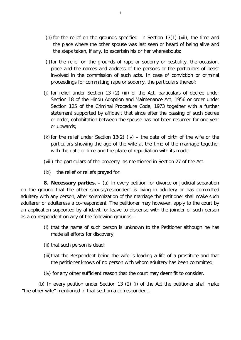- (h) for the relief on the grounds specified in Section 13(1) (vii), the time and the place where the other spouse was last seen or heard of being alive and the steps taken, if any, to ascertain his or her whereabouts;
- (i)for the relief on the grounds of rape or sodomy or bestiality, the occasion, place and the names and address of the persons or the particulars of beast involved in the commission of such acts. In case of conviction or criminal proceedings for committing rape or sodomy, the particulars thereof;
- (j) for relief under Section 13 (2) (iii) of the Act, particulars of decree under Section 18 of the Hindu Adoption and Maintenance Act, 1956 or order under Section 125 of the Criminal Procedure Code, 1973 together with a further statement supported by affidavit that since after the passing of such decree or order, cohabitation between the spouse has not been resumed for one year or upwards;
- (k) for the relief under Section 13(2) (iv) the date of birth of the wife or the particulars showing the age of the wife at the time of the marriage together with the date or time and the place of repudiation with its mode:
- (viii) the particulars of the property as mentioned in Section 27 of the Act.
- (ix) the relief or reliefs prayed for.

**8. Necessary parties. –** (a) In every petition for divorce or Judicial separation on the ground that the other spouse/respondent is living in adultery or has committed adultery with any person, after solemnization of the marriage the petitioner shall make such adulterer or adulteress a co-respondent. The petitioner may however, apply to the court by an application supported by affidavit for leave to dispense with the joinder of such person as a co-respondent on any of the following grounds:-

- (i) that the name of such person is unknown to the Petitioner although he has made all efforts for discovery;
- (ii) that such person is dead;
- (iii)that the Respondent being the wife is leading a life of a prostitute and that the petitioner knows of no person with whom adultery has been committed;
- (iv) for any other sufficient reason that the court may deem fit to consider.

 (b) In every petition under Section 13 (2) (i) of the Act the petitioner shall make "the other wife" mentioned in that section a co-respondent.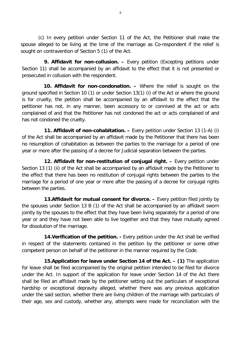(c) In every petition under Section 11 of the Act, the Petitioner shall make the spouse alleged to be living at the time of the marriage as Co-respondent if the relief is sought on contravention of Section 5 (1) of the Act.

**9. Affidavit for non-collusion. –** Every petition (Excepting petitions under Section 11) shall be accompanied by an affidavit to the effect that it is not presented or prosecuted in collusion with the respondent.

**10. Affidavit for non-condonation. –** Where the relief is sought on the ground specified in Section 10 (1) or under Section 13(1) (i) of the Act or where the ground is for cruelty, the petition shall be accompanied by an affidavit to the effect that the petitioner has not, in any manner, been accessory to or connived at the act or acts complained of and that the Petitioner has not condoned the act or acts complained of and has not condoned the cruelty.

**11. Affidavit of non-cohabitation. –** Every petition under Section 13 (1-A) (i) of the Act shall be accompanied by an affidavit made by the Petitioner that there has been no resumption of cohabitation as between the parties to the marriage for a period of one year or more after the passing of a decree for Judicial separation between the parties.

**12. Affidavit for non-restitution of conjugal right. –** Every petition under Section 13 (1) (ii) of the Act shall be accompanied by an affidavit made by the Petitioner to the effect that there has been no restitution of conjugal rights between the parties to the marriage for a period of one year or more after the passing of a decree for conjugal rights between the parties.

**13. Affidavit for mutual consent for divorce.** - Every petition filed jointly by the spouses under Section 13 B (1) of the Act shall be accompanied by an affidavit sworn jointly by the spouses to the effect that they have been living separately for a period of one year or and they have not been able to live together and that they have mutually agreed for dissolution of the marriage.

**14.Verification of the petition. -** Every petition under the Act shall be verified in respect of the statements contained in the petition by the petitioner or some other competent person on behalf of the petitioner in the manner required by the Code.

**15.Application for leave under Section 14 of the Act. – (1)** The application for leave shall be filed accompanied by the original petition intended to be filed for divorce under the Act. In support of the application for leave under Section 14 of the Act there shall be filed an affidavit made by the petitioner setting out the particulars of exceptional hardship or exceptional depravity alleged, whether there was any previous application under the said section, whether there are living children of the marriage with particulars of their age, sex and custody, whether any, attempts were made for reconciliation with the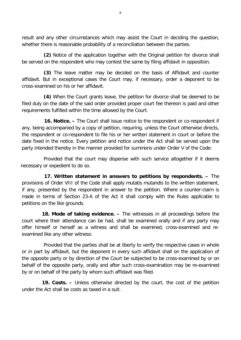result and any other circumstances which may assist the Court in deciding the question, whether there is reasonable probability of a reconciliation between the parties.

**(2)** Notice of the application together with the Original petition for divorce shall be served on the respondent who may contest the same by filing affidavit in opposition.

**(3)** The leave matter may be decided on the basis of Affidavit and counter affidavit. But in exceptional cases the Court may, if necessary, order a deponent to be cross-examined on his or her affidavit.

**(4)** When the Court grants leave, the petition for divorce shall be deemed to be filed duly on the date of the said order provided proper court fee thereon is paid and other requirements fulfilled within the time allowed by the Court.

**16. Notice. –** The Court shall issue notice to the respondent or co-respondent if any, being accompanied by a copy of petition, requiring, unless the Court otherwise directs, the respondent or co-respondent to file his or her written statement in court or before the date fixed in the notice. Every petition and notice under the Act shall be served upon the party intended thereby in the manner provided for summons under Order V of the Code:

Provided that the court may dispense with such service altogether if it deems necessary or expedient to do so.

**17. Written statement in answers to petitions by respondents. –** The provisions of Order VIII of the Code shall apply mutatis mutandis to the written statement, if any, presented by the respondent in answer to the petition. Where a counter-claim is made in terms of Section 23-A of the Act it shall comply with the Rules applicable to petitions on the like grounds.

**18. Mode of taking evidence. –** The witnesses in all proceedings before the court where their attendance can be had, shall be examined orally and if any party may offer himself or herself as a witness and shall be examined, cross-examined and reexamined like any other witness:

Provided that the parties shall be at liberty to verify the respective cases in whole or in part by affidavit, but the deponent in every such affidavit shall on the application of the opposite party or by direction of the Court be subjected to be cross-examined by or on behalf of the opposite party, orally and after such cross-examination may be re-examined by or on behalf of the party by whom such affidavit was filed.

**19. Costs. –** Unless otherwise directed by the court, the cost of the petition under the Act shall be costs as taxed in a suit.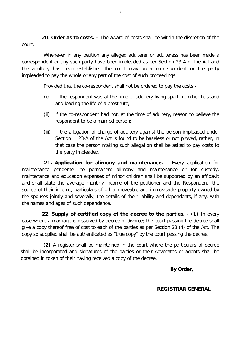**20. Order as to costs. –** The award of costs shall be within the discretion of the court.

Whenever in any petition any alleged adulterer or adulteress has been made a correspondent or any such party have been impleaded as per Section 23-A of the Act and the adultery has been established the court may order co-respondent or the party impleaded to pay the whole or any part of the cost of such proceedings:

Provided that the co-respondent shall not be ordered to pay the costs:-

- (i) if the respondent was at the time of adultery living apart from her husband and leading the life of a prostitute;
- (ii) if the co-respondent had not, at the time of adultery, reason to believe the respondent to be a married person;
- (iii) if the allegation of charge of adultery against the person impleaded under Section 23-A of the Act is found to be baseless or not proved, rather, in that case the person making such allegation shall be asked to pay costs to the party impleaded.

**21. Application for alimony and maintenance. –** Every application for maintenance pendente lite permanent alimony and maintenance or for custody, maintenance and education expenses of minor children shall be supported by an affidavit and shall state the average monthly income of the petitioner and the Respondent, the source of their income, particulars of other moveable and immoveable property owned by the spouses jointly and severally, the details of their liability and dependents, if any, with the names and ages of such dependence.

**22. Supply of certified copy of the decree to the parties. - (1)** In every case where a marriage is dissolved by decree of divorce; the court passing the decree shall give a copy thereof free of cost to each of the parties as per Section 23 (4) of the Act. The copy so supplied shall be authenticated as "true copy" by the court passing the decree.

**(2)** A register shall be maintained in the court where the particulars of decree shall be incorporated and signatures of the parties or their Advocates or agents shall be obtained in token of their having received a copy of the decree.

 **By Order,**

#### **REGISTRAR GENERAL**

7